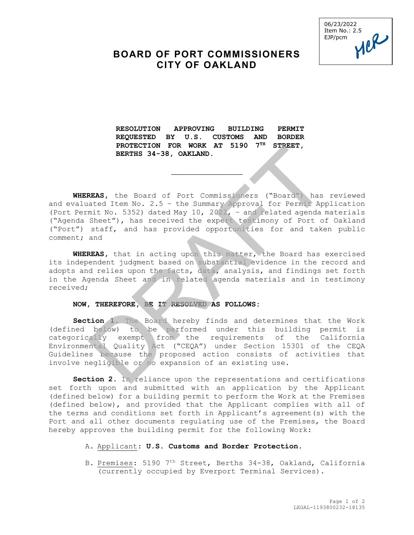06/23/2022 Item No.: 2.5 EJP/pcm

## **BOARD OF PORT COMMISSIONERS CITY OF OAKLAND**

**RESOLUTION APPROVING BUILDING PERMIT REQUESTED BY U.S. CUSTOMS AND BORDER PROTECTION FOR WORK AT 5190 7TH STREET, BERTHS 34-38, OAKLAND.** 

\_\_\_\_\_\_\_\_\_\_\_\_\_\_\_\_

**WHEREAS,** the Board of Port Commissioners ("Board") has reviewed and evaluated Item No. 2.5 – the Summary Approval for Permit Application (Port Permit No. 5352) dated May 10, 2022, – and related agenda materials ("Agenda Sheet"), has received the expert testimony of Port of Oakland ("Port") staff, and has provided opportunities for and taken public comment; and PROTECTION FOR WORK AT 5190 7-8 STARET,<br>BERTHS 34-38, ORKLAND.<br>REAS, the Board of Port Commissioners ("Board") has<br>ated Item No. 2.5 - the Summary Approval for Permit App<br>mit No. 5352) dated May 10, 2022, - and related age

**WHEREAS,** that in acting upon this matter, the Board has exercised its independent judgment based on substantial evidence in the record and adopts and relies upon the facts, data, analysis, and findings set forth in the Agenda Sheet and in related agenda materials and in testimony received;

## **NOW, THEREFORE, BE IT RESOLVED AS FOLLOWS:**

**Section 1.** The Board hereby finds and determines that the Work (defined below) to be performed under this building permit is categorically exempt from the requirements of the California Environmental Quality Act ("CEQA") under Section 15301 of the CEQA Guidelines because the proposed action consists of activities that involve negligible or no expansion of an existing use.

**Section 2.** In reliance upon the representations and certifications set forth upon and submitted with an application by the Applicant (defined below) for a building permit to perform the Work at the Premises (defined below), and provided that the Applicant complies with all of the terms and conditions set forth in Applicant's agreement(s) with the Port and all other documents regulating use of the Premises, the Board hereby approves the building permit for the following Work:

## A. Applicant: **U.S. Customs and Border Protection.**

B. Premises: 5190 7th Street, Berths 34-38, Oakland, California (currently occupied by Everport Terminal Services).